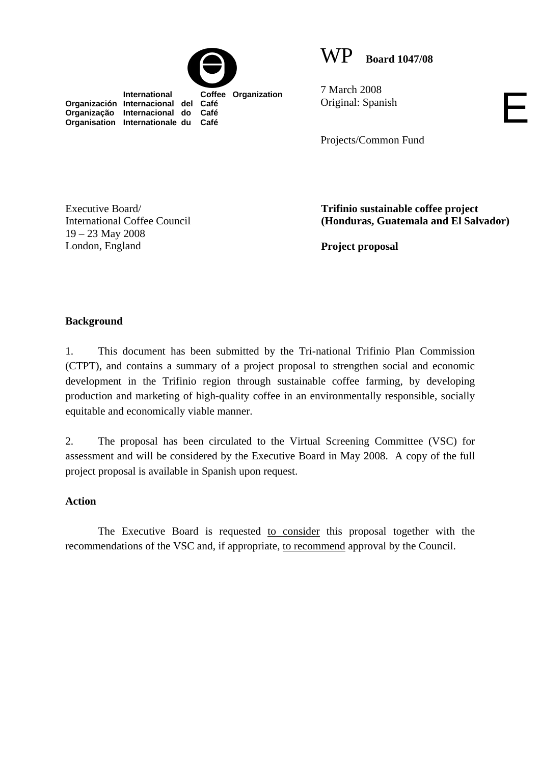

 **International Coffee Organization** 



7 March 2008 Original: Spanish

Projects/Common Fund

Executive Board/ International Coffee Council 19 – 23 May 2008 London, England

**Organización Internacional del Café Organização Internacional do Café Organisation Internationale du Café**

> **Trifinio sustainable coffee project (Honduras, Guatemala and El Salvador)**

E

**Project proposal** 

## **Background**

1. This document has been submitted by the Tri-national Trifinio Plan Commission (CTPT), and contains a summary of a project proposal to strengthen social and economic development in the Trifinio region through sustainable coffee farming, by developing production and marketing of high-quality coffee in an environmentally responsible, socially equitable and economically viable manner.

2. The proposal has been circulated to the Virtual Screening Committee (VSC) for assessment and will be considered by the Executive Board in May 2008. A copy of the full project proposal is available in Spanish upon request.

## **Action**

The Executive Board is requested to consider this proposal together with the recommendations of the VSC and, if appropriate, to recommend approval by the Council.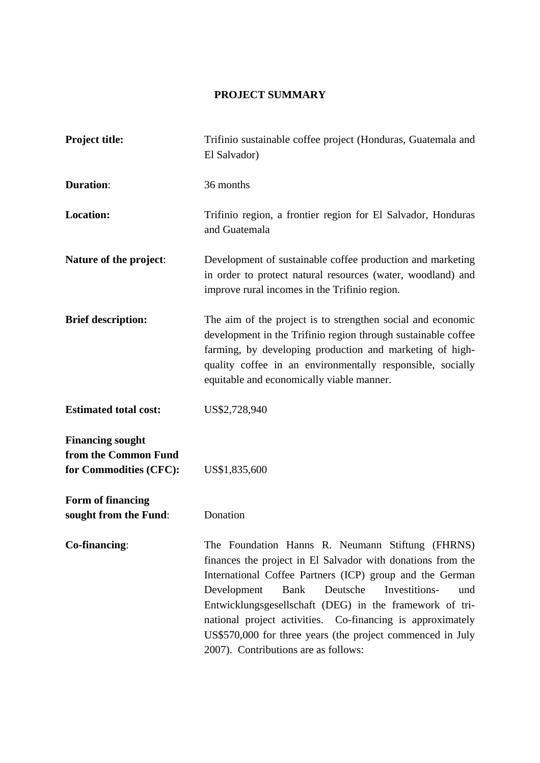## **PROJECT SUMMARY**

| <b>Project title:</b>                                                     | Trifinio sustainable coffee project (Honduras, Guatemala and<br>El Salvador)                                                                                                                                                                                                                                                                                                                                                                                          |  |
|---------------------------------------------------------------------------|-----------------------------------------------------------------------------------------------------------------------------------------------------------------------------------------------------------------------------------------------------------------------------------------------------------------------------------------------------------------------------------------------------------------------------------------------------------------------|--|
| <b>Duration:</b>                                                          | 36 months                                                                                                                                                                                                                                                                                                                                                                                                                                                             |  |
| <b>Location:</b>                                                          | Trifinio region, a frontier region for El Salvador, Honduras<br>and Guatemala                                                                                                                                                                                                                                                                                                                                                                                         |  |
| Nature of the project:                                                    | Development of sustainable coffee production and marketing<br>in order to protect natural resources (water, woodland) and<br>improve rural incomes in the Trifinio region.                                                                                                                                                                                                                                                                                            |  |
| <b>Brief description:</b>                                                 | The aim of the project is to strengthen social and economic<br>development in the Trifinio region through sustainable coffee<br>farming, by developing production and marketing of high-<br>quality coffee in an environmentally responsible, socially<br>equitable and economically viable manner.                                                                                                                                                                   |  |
| <b>Estimated total cost:</b>                                              | US\$2,728,940                                                                                                                                                                                                                                                                                                                                                                                                                                                         |  |
| <b>Financing sought</b><br>from the Common Fund<br>for Commodities (CFC): | US\$1,835,600                                                                                                                                                                                                                                                                                                                                                                                                                                                         |  |
| Form of financing<br>sought from the Fund:                                | Donation                                                                                                                                                                                                                                                                                                                                                                                                                                                              |  |
| Co-financing:                                                             | The Foundation Hanns R. Neumann Stiftung (FHRNS)<br>finances the project in El Salvador with donations from the<br>International Coffee Partners (ICP) group and the German<br>Development<br>Investitions-<br>Bank<br>Deutsche<br>und<br>Entwicklungsgesellschaft (DEG) in the framework of tri-<br>national project activities. Co-financing is approximately<br>US\$570,000 for three years (the project commenced in July<br>2007). Contributions are as follows: |  |